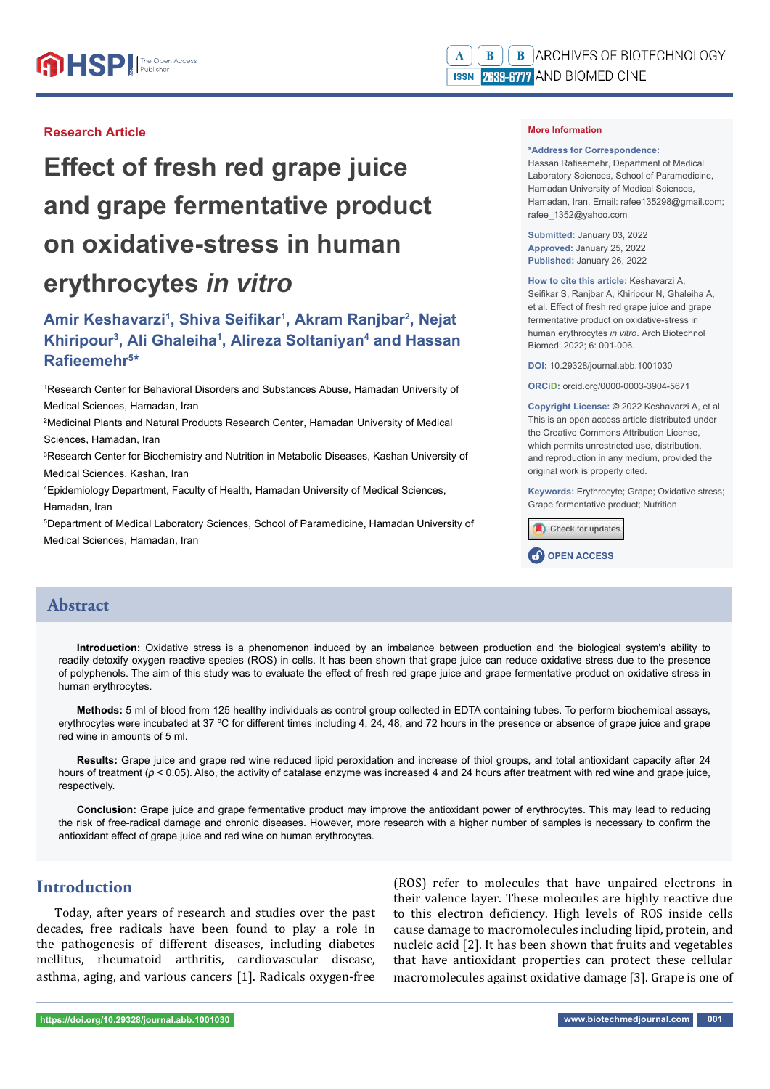#### **Research Article**

# **Effect of fresh red grape juice and grape fermentative product on oxidative-stress in human erythrocytes** *in vitro*

# Amir Keshavarzi<sup>1</sup>, Shiva Seifikar<sup>1</sup>, Akram Ranjbar<sup>2</sup>, Nejat **Khiripour<sup>3</sup>, Ali Ghaleiha<sup>1</sup>, Alireza Soltaniyan<sup>4</sup> and Hassan Rafi eemehr5 \***

1 Research Center for Behavioral Disorders and Substances Abuse, Hamadan University of Medical Sciences, Hamadan, Iran

2 Medicinal Plants and Natural Products Research Center, Hamadan University of Medical Sciences, Hamadan, Iran

3 Research Center for Biochemistry and Nutrition in Metabolic Diseases, Kashan University of Medical Sciences, Kashan, Iran

4 Epidemiology Department, Faculty of Health, Hamadan University of Medical Sciences, Hamadan, Iran

5 Department of Medical Laboratory Sciences, School of Paramedicine, Hamadan University of Medical Sciences, Hamadan, Iran

#### **More Information**

#### **\*Address for Correspondence:**

Hassan Rafieemehr, Department of Medical Laboratory Sciences, School of Paramedicine, Hamadan University of Medical Sciences, Hamadan, Iran, Email: rafee135298@gmail.com; rafee\_1352@yahoo.com

**Submitted:** January 03, 2022 **Approved:** January 25, 2022 **Published:** January 26, 2022

**How to cite this article:** Keshavarzi A, Seifikar S, Ranjbar A, Khiripour N, Ghaleiha A, et al. Effect of fresh red grape juice and grape fermentative product on oxidative-stress in human erythrocytes *in vitro*. Arch Biotechnol Biomed. 2022; 6: 001-006.

**DOI:** 10.29328/journal.abb.1001030

**ORCiD:** orcid.org/0000-0003-3904-5671

**Copyright License: ©** 2022 Keshavarzi A, et al. This is an open access article distributed under the Creative Commons Attribution License, which permits unrestricted use, distribution, and reproduction in any medium, provided the original work is properly cited.

**Keywords:** Erythrocyte; Grape; Oxidative stress; Grape fermentative product; Nutrition



#### **Abstract**

**Introduction:** Oxidative stress is a phenomenon induced by an imbalance between production and the biological system's ability to readily detoxify oxygen reactive species (ROS) in cells. It has been shown that grape juice can reduce oxidative stress due to the presence of polyphenols. The aim of this study was to evaluate the effect of fresh red grape juice and grape fermentative product on oxidative stress in human erythrocytes.

**Methods:** 5 ml of blood from 125 healthy individuals as control group collected in EDTA containing tubes. To perform biochemical assays, erythrocytes were incubated at 37 °C for different times including 4, 24, 48, and 72 hours in the presence or absence of grape juice and grape red wine in amounts of 5 ml.

**Results:** Grape juice and grape red wine reduced lipid peroxidation and increase of thiol groups, and total antioxidant capacity after 24 hours of treatment ( $p < 0.05$ ). Also, the activity of catalase enzyme was increased 4 and 24 hours after treatment with red wine and grape juice, respectively.

**Conclusion:** Grape juice and grape fermentative product may improve the antioxidant power of erythrocytes. This may lead to reducing the risk of free-radical damage and chronic diseases. However, more research with a higher number of samples is necessary to confirm the antioxidant effect of grape juice and red wine on human erythrocytes.

## **Introduction**

Today, after years of research and studies over the past decades, free radicals have been found to play a role in the pathogenesis of different diseases, including diabetes mellitus, rheumatoid arthritis, cardiovascular disease, asthma, aging, and various cancers [1]. Radicals oxygen-free (ROS) refer to molecules that have unpaired electrons in their valence layer. These molecules are highly reactive due to this electron deficiency. High levels of ROS inside cells cause damage to macromolecules including lipid, protein, and nucleic acid [2]. It has been shown that fruits and vegetables that have antioxidant properties can protect these cellular macromolecules against oxidative damage [3]. Grape is one of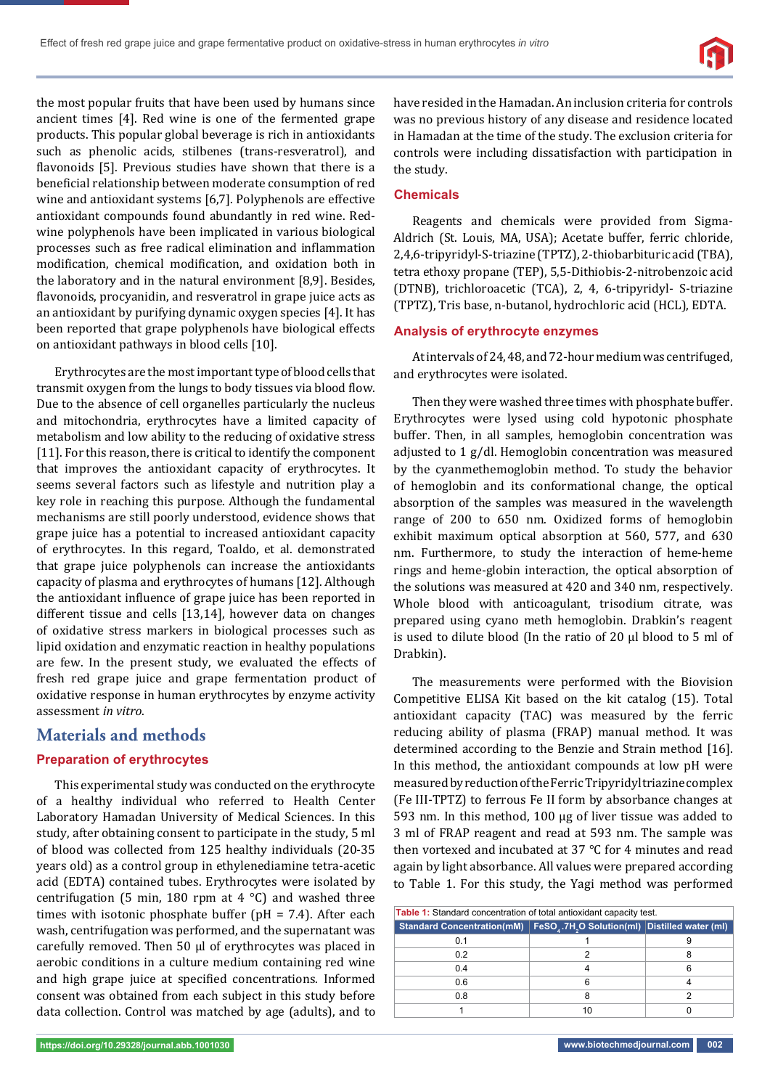the most popular fruits that have been used by humans since ancient times [4]. Red wine is one of the fermented grape products. This popular global beverage is rich in antioxidants such as phenolic acids, stilbenes (trans-resveratrol), and flavonoids [5]. Previous studies have shown that there is a beneficial relationship between moderate consumption of red wine and antioxidant systems [6,7]. Polyphenols are effective antioxidant compounds found abundantly in red wine. Redwine polyphenols have been implicated in various biological processes such as free radical elimination and inflammation modification, chemical modification, and oxidation both in the laboratory and in the natural environment [8,9]. Besides, flavonoids, procyanidin, and resveratrol in grape juice acts as an antioxidant by purifying dynamic oxygen species [4]. It has been reported that grape polyphenols have biological effects on antioxidant pathways in blood cells [10].

Erythrocytes are the most important type of blood cells that transmit oxygen from the lungs to body tissues via blood flow. Due to the absence of cell organelles particularly the nucleus and mitochondria, erythrocytes have a limited capacity of metabolism and low ability to the reducing of oxidative stress [11]. For this reason, there is critical to identify the component that improves the antioxidant capacity of erythrocytes. It seems several factors such as lifestyle and nutrition play a key role in reaching this purpose. Although the fundamental mechanisms are still poorly understood, evidence shows that grape juice has a potential to increased antioxidant capacity of erythrocytes. In this regard, Toaldo, et al. demonstrated that grape juice polyphenols can increase the antioxidants capacity of plasma and erythrocytes of humans [12]. Although the antioxidant influence of grape juice has been reported in different tissue and cells [13,14], however data on changes of oxidative stress markers in biological processes such as lipid oxidation and enzymatic reaction in healthy populations are few. In the present study, we evaluated the effects of fresh red grape juice and grape fermentation product of oxidative response in human erythrocytes by enzyme activity assessment *in vitro*.

## **Materials and methods**

#### **Preparation of erythrocytes**

This experimental study was conducted on the erythrocyte of a healthy individual who referred to Health Center Laboratory Hamadan University of Medical Sciences. In this study, after obtaining consent to participate in the study, 5 ml of blood was collected from 125 healthy individuals (20-35 years old) as a control group in ethylenediamine tetra-acetic acid (EDTA) contained tubes. Erythrocytes were isolated by centrifugation (5 min, 180 rpm at 4  $^{\circ}$ C) and washed three times with isotonic phosphate buffer (pH = 7.4). After each wash, centrifugation was performed, and the supernatant was carefully removed. Then 50 μl of erythrocytes was placed in aerobic conditions in a culture medium containing red wine and high grape juice at specified concentrations. Informed consent was obtained from each subject in this study before data collection. Control was matched by age (adults), and to have resided in the Hamadan. An inclusion criteria for controls was no previous history of any disease and residence located in Hamadan at the time of the study. The exclusion criteria for controls were including dissatisfaction with participation in the study.

#### **Chemicals**

Reagents and chemicals were provided from Sigma-Aldrich (St. Louis, MA, USA); Acetate buffer, ferric chloride, 2,4,6-tripyridyl-S-triazine (TPTZ), 2-thiobarbituric acid (TBA), tetra ethoxy propane (TEP), 5,5-Dithiobis-2-nitrobenzoic acid (DTNB), trichloroacetic (TCA), 2, 4, 6-tripyridyl- S-triazine (TPTZ), Tris base, n-butanol, hydrochloric acid (HCL), EDTA.

#### **Analysis of erythrocyte enzymes**

At intervals of 24, 48, and 72-hour medium was centrifuged, and erythrocytes were isolated.

Then they were washed three times with phosphate buffer. Erythrocytes were lysed using cold hypotonic phosphate buffer. Then, in all samples, hemoglobin concentration was adjusted to 1 g/dl. Hemoglobin concentration was measured by the cyanmethemoglobin method. To study the behavior of hemoglobin and its conformational change, the optical absorption of the samples was measured in the wavelength range of 200 to 650 nm. Oxidized forms of hemoglobin exhibit maximum optical absorption at 560, 577, and 630 nm. Furthermore, to study the interaction of heme-heme rings and heme-globin interaction, the optical absorption of the solutions was measured at 420 and 340 nm, respectively. Whole blood with anticoagulant, trisodium citrate, was prepared using cyano meth hemoglobin. Drabkin's reagent is used to dilute blood (In the ratio of 20 μl blood to 5 ml of Drabkin).

The measurements were performed with the Biovision Competitive ELISA Kit based on the kit catalog (15). Total antioxidant capacity (TAC) was measured by the ferric reducing ability of plasma (FRAP) manual method. It was determined according to the Benzie and Strain method [16]. In this method, the antioxidant compounds at low pH were measured by reduction of the Ferric Tripyridyl triazine complex (Fe III-TPTZ) to ferrous Fe II form by absorbance changes at 593 nm. In this method, 100 μg of liver tissue was added to 3 ml of FRAP reagent and read at 593 nm. The sample was then vortexed and incubated at 37 °C for 4 minutes and read again by light absorbance. All values were prepared according to Table 1. For this study, the Yagi method was performed

| Table 1: Standard concentration of total antioxidant capacity test. |                                                                        |   |
|---------------------------------------------------------------------|------------------------------------------------------------------------|---|
| Standard Concentration(mM)                                          | FeSO <sub>4</sub> .7H <sub>2</sub> O Solution(ml) Distilled water (ml) |   |
| 0.1                                                                 |                                                                        |   |
| 0.2                                                                 |                                                                        |   |
| 0.4                                                                 |                                                                        | 6 |
| 0.6                                                                 | 6                                                                      |   |
| 0.8                                                                 | 8                                                                      |   |
|                                                                     | 10                                                                     |   |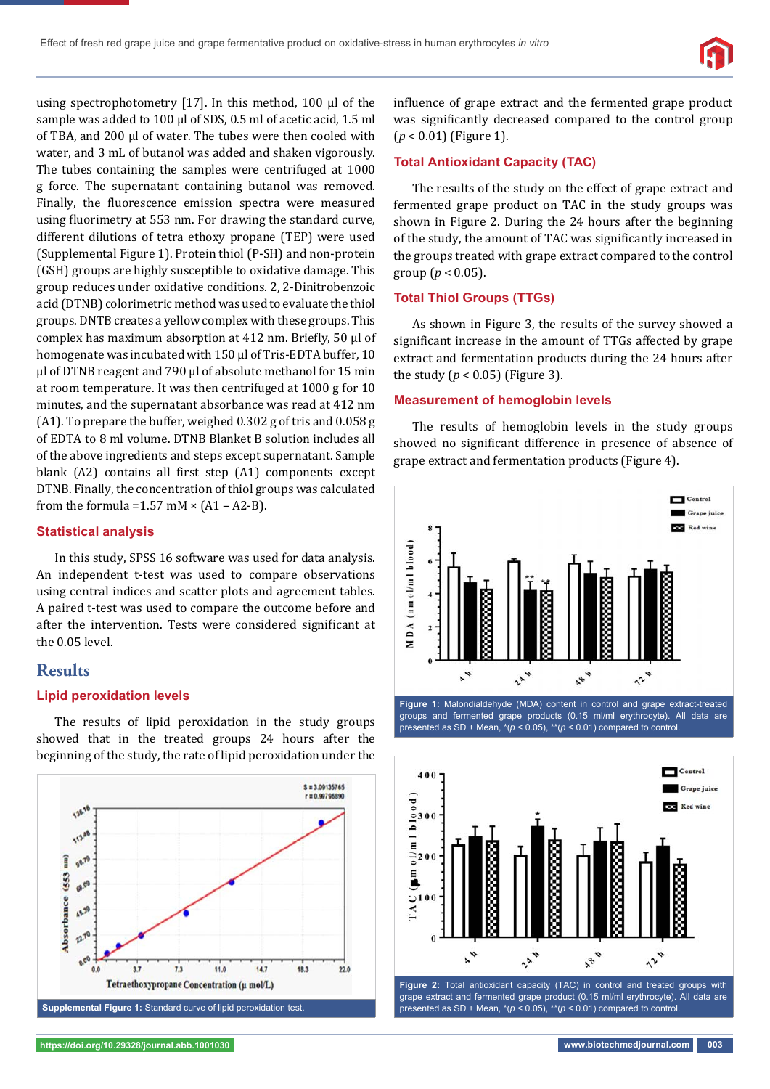

using spectrophotometry [17]. In this method, 100 μl of the sample was added to 100 μl of SDS, 0.5 ml of acetic acid, 1.5 ml of TBA, and 200 μl of water. The tubes were then cooled with water, and 3 mL of butanol was added and shaken vigorously. The tubes containing the samples were centrifuged at 1000 g force. The supernatant containing butanol was removed. Finally, the fluorescence emission spectra were measured using fluorimetry at 553 nm. For drawing the standard curve, different dilutions of tetra ethoxy propane (TEP) were used (Supplemental Figure 1). Protein thiol (P-SH) and non-protein (GSH) groups are highly susceptible to oxidative damage. This group reduces under oxidative conditions. 2, 2-Dinitrobenzoic acid (DTNB) colorimetric method was used to evaluate the thiol groups. DNTB creates a yellow complex with these groups. This complex has maximum absorption at 412 nm. Briefly, 50 μl of homogenate was incubated with 150 μl of Tris-EDTA buffer, 10 μl of DTNB reagent and 790 μl of absolute methanol for 15 min at room temperature. It was then centrifuged at 1000 g for 10 minutes, and the supernatant absorbance was read at 412 nm (A1). To prepare the buffer, weighed 0.302 g of tris and 0.058 g of EDTA to 8 ml volume. DTNB Blanket B solution includes all of the above ingredients and steps except supernatant. Sample blank (A2) contains all first step (A1) components except DTNB. Finally, the concentration of thiol groups was calculated from the formula =  $1.57$  mM  $\times$  (A1 – A2-B).

#### **Statistical analysis**

In this study, SPSS 16 software was used for data analysis. An independent t-test was used to compare observations using central indices and scatter plots and agreement tables. A paired t-test was used to compare the outcome before and after the intervention. Tests were considered significant at the 0.05 level.

## **Results**

#### **Lipid peroxidation levels**

The results of lipid peroxidation in the study groups showed that in the treated groups 24 hours after the beginning of the study, the rate of lipid peroxidation under the



influence of grape extract and the fermented grape product was significantly decreased compared to the control group (*p* < 0.01) (Figure 1).

#### **Total Antioxidant Capacity (TAC)**

The results of the study on the effect of grape extract and fermented grape product on TAC in the study groups was shown in Figure 2. During the 24 hours after the beginning of the study, the amount of TAC was significantly increased in the groups treated with grape extract compared to the control group ( $p < 0.05$ ).

#### **Total Thiol Groups (TTGs)**

As shown in Figure 3, the results of the survey showed a significant increase in the amount of TTGs affected by grape extract and fermentation products during the 24 hours after the study ( $p < 0.05$ ) (Figure 3).

#### **Measurement of hemoglobin levels**

The results of hemoglobin levels in the study groups showed no significant difference in presence of absence of grape extract and fermentation products (Figure 4).



groups and fermented grape products (0.15 ml/ml erythrocyte). All data are presented as SD ± Mean, \*(*p* < 0.05), \*\*(*p* < 0.01) compared to control.



grape extract and fermented grape product (0.15 ml/ml erythrocyte). All data are presented as SD  $\pm$  Mean,  $*(p < 0.05)$ ,  $**$   $(p < 0.01)$  compared to control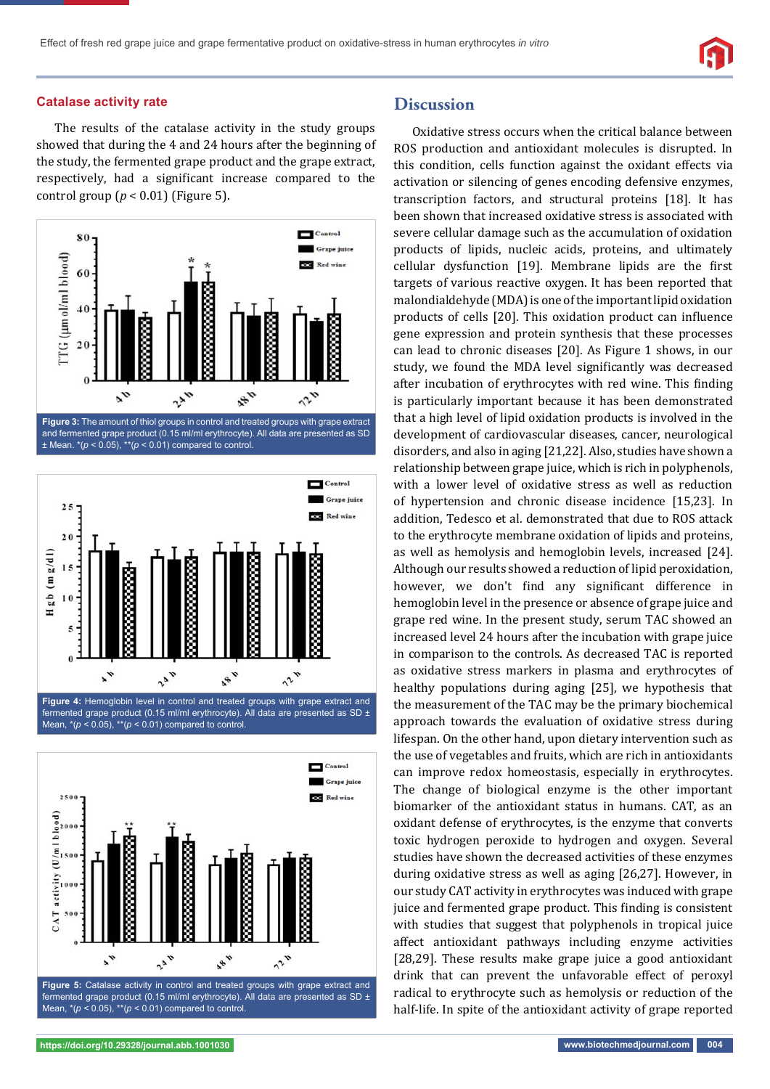#### **Catalase activity rate**

The results of the catalase activity in the study groups showed that during the 4 and 24 hours after the beginning of the study, the fermented grape product and the grape extract, respectively, had a significant increase compared to the control group  $(p < 0.01)$  (Figure 5).



and fermented grape product (0.15 ml/ml erythrocyte). All data are presented as SD  $\pm$  Mean.  $*(p < 0.05)$ ,  $**$ ( $p < 0.01$ ) compared to control





#### **Discussion**

Oxidative stress occurs when the critical balance between ROS production and antioxidant molecules is disrupted. In this condition, cells function against the oxidant effects via activation or silencing of genes encoding defensive enzymes, transcription factors, and structural proteins [18]. It has been shown that increased oxidative stress is associated with severe cellular damage such as the accumulation of oxidation products of lipids, nucleic acids, proteins, and ultimately cellular dysfunction [19]. Membrane lipids are the first targets of various reactive oxygen. It has been reported that malondialdehyde (MDA) is one of the important lipid oxidation products of cells [20]. This oxidation product can influence gene expression and protein synthesis that these processes can lead to chronic diseases [20]. As Figure 1 shows, in our study, we found the MDA level significantly was decreased after incubation of erythrocytes with red wine. This finding is particularly important because it has been demonstrated that a high level of lipid oxidation products is involved in the development of cardiovascular diseases, cancer, neurological disorders, and also in aging [21,22]. Also, studies have shown a relationship between grape juice, which is rich in polyphenols, with a lower level of oxidative stress as well as reduction of hypertension and chronic disease incidence [15,23]. In addition, Tedesco et al. demonstrated that due to ROS attack to the erythrocyte membrane oxidation of lipids and proteins, as well as hemolysis and hemoglobin levels, increased [24]. Although our results showed a reduction of lipid peroxidation, however, we don't find any significant difference in hemoglobin level in the presence or absence of grape juice and grape red wine. In the present study, serum TAC showed an increased level 24 hours after the incubation with grape juice in comparison to the controls. As decreased TAC is reported as oxidative stress markers in plasma and erythrocytes of healthy populations during aging [25], we hypothesis that the measurement of the TAC may be the primary biochemical approach towards the evaluation of oxidative stress during lifespan. On the other hand, upon dietary intervention such as the use of vegetables and fruits, which are rich in antioxidants can improve redox homeostasis, especially in erythrocytes. The change of biological enzyme is the other important biomarker of the antioxidant status in humans. CAT, as an oxidant defense of erythrocytes, is the enzyme that converts toxic hydrogen peroxide to hydrogen and oxygen. Several studies have shown the decreased activities of these enzymes during oxidative stress as well as aging [26,27]. However, in our study CAT activity in erythrocytes was induced with grape juice and fermented grape product. This finding is consistent with studies that suggest that polyphenols in tropical juice affect antioxidant pathways including enzyme activities [28,29]. These results make grape juice a good antioxidant drink that can prevent the unfavorable effect of peroxyl radical to erythrocyte such as hemolysis or reduction of the half-life. In spite of the antioxidant activity of grape reported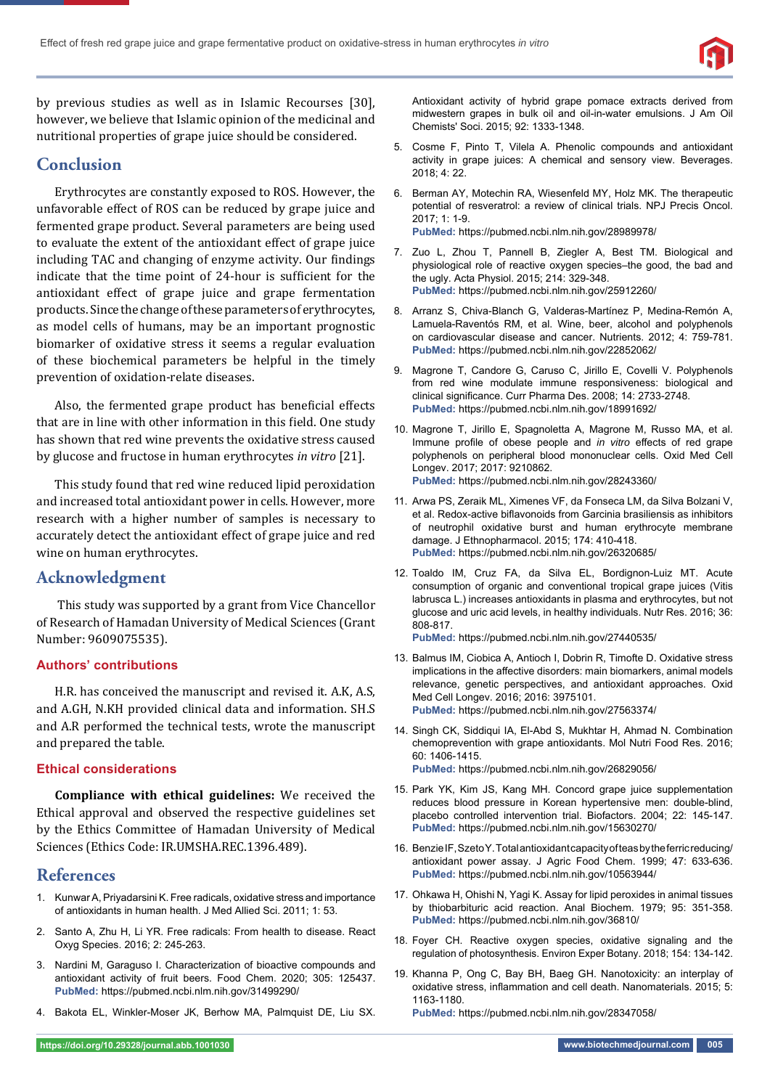

by previous studies as well as in Islamic Recourses [30], however, we believe that Islamic opinion of the medicinal and nutritional properties of grape juice should be considered.

# **Conclusion**

Erythrocytes are constantly exposed to ROS. However, the unfavorable effect of ROS can be reduced by grape juice and fermented grape product. Several parameters are being used to evaluate the extent of the antioxidant effect of grape juice including TAC and changing of enzyme activity. Our findings indicate that the time point of 24-hour is sufficient for the antioxidant effect of grape juice and grape fermentation products. Since the change of these parameters of erythrocytes, as model cells of humans, may be an important prognostic biomarker of oxidative stress it seems a regular evaluation of these biochemical parameters be helpful in the timely prevention of oxidation-relate diseases.

Also, the fermented grape product has beneficial effects that are in line with other information in this field. One study has shown that red wine prevents the oxidative stress caused by glucose and fructose in human erythrocytes *in vitro* [21].

This study found that red wine reduced lipid peroxidation and increased total antioxidant power in cells. However, more research with a higher number of samples is necessary to accurately detect the antioxidant effect of grape juice and red wine on human erythrocytes.

# **Acknowledgment**

 This study was supported by a grant from Vice Chancellor of Research of Hamadan University of Medical Sciences (Grant Number: 9609075535).

#### **Authors' contributions**

H.R. has conceived the manuscript and revised it. A.K, A.S, and A.GH, N.KH provided clinical data and information. SH.S and A.R performed the technical tests, wrote the manuscript and prepared the table.

#### **Ethical considerations**

**Compliance with ethical guidelines:** We received the Ethical approval and observed the respective guidelines set by the Ethics Committee of Hamadan University of Medical Sciences (Ethics Code: IR.UMSHA.REC.1396.489).

## **References**

- 1. Kunwar A, Priyadarsini K. Free radicals, oxidative stress and importance of antioxidants in human health. J Med Allied Sci. 2011; 1: 53.
- 2. Santo A, Zhu H, Li YR. Free radicals: From health to disease. React Oxyg Species. 2016; 2: 245-263.
- 3. Nardini M, Garaguso I. Characterization of bioactive compounds and antioxidant activity of fruit beers. Food Chem. 2020; 305: 125437. **PubMed:** https://pubmed.ncbi.nlm.nih.gov/31499290/
- 4. Bakota EL, Winkler-Moser JK, Berhow MA, Palmquist DE, Liu SX.

Antioxidant activity of hybrid grape pomace extracts derived from midwestern grapes in bulk oil and oil-in-water emulsions. J Am Oil Chemists' Soci. 2015; 92: 1333-1348.

- 5. Cosme F, Pinto T, Vilela A. Phenolic compounds and antioxidant activity in grape juices: A chemical and sensory view. Beverages. 2018; 4: 22.
- 6. Berman AY, Motechin RA, Wiesenfeld MY, Holz MK. The therapeutic potential of resveratrol: a review of clinical trials. NPJ Precis Oncol.  $2017 \cdot 1 \cdot 1 - 9$ **PubMed:** https://pubmed.ncbi.nlm.nih.gov/28989978/
- 7. Zuo L, Zhou T, Pannell B, Ziegler A, Best TM. Biological and physiological role of reactive oxygen species–the good, the bad and the ugly. Acta Physiol. 2015; 214: 329-348. **PubMed:** https://pubmed.ncbi.nlm.nih.gov/25912260/
- 8. Arranz S, Chiva-Blanch G, Valderas-Martínez P, Medina-Remón A, Lamuela-Raventós RM, et al. Wine, beer, alcohol and polyphenols on cardiovascular disease and cancer. Nutrients. 2012; 4: 759-781. **PubMed:** https://pubmed.ncbi.nlm.nih.gov/22852062/
- 9. Magrone T, Candore G, Caruso C, Jirillo E, Covelli V. Polyphenols from red wine modulate immune responsiveness: biological and clinical significance. Curr Pharma Des. 2008; 14: 2733-2748. **PubMed:** https://pubmed.ncbi.nlm.nih.gov/18991692/
- 10. Magrone T, Jirillo E, Spagnoletta A, Magrone M, Russo MA, et al. Immune profile of obese people and *in vitro* effects of red grape polyphenols on peripheral blood mononuclear cells. Oxid Med Cell Longev. 2017; 2017: 9210862. **PubMed:** https://pubmed.ncbi.nlm.nih.gov/28243360/
- 11. Arwa PS, Zeraik ML, Ximenes VF, da Fonseca LM, da Silva Bolzani V, et al. Redox-active biflavonoids from Garcinia brasiliensis as inhibitors of neutrophil oxidative burst and human erythrocyte membrane damage. J Ethnopharmacol. 2015; 174: 410-418. **PubMed:** https://pubmed.ncbi.nlm.nih.gov/26320685/
- 12. Toaldo IM, Cruz FA, da Silva EL, Bordignon-Luiz MT. Acute consumption of organic and conventional tropical grape juices (Vitis labrusca L.) increases antioxidants in plasma and erythrocytes, but not glucose and uric acid levels, in healthy individuals. Nutr Res. 2016; 36: 808-817.

**PubMed:** https://pubmed.ncbi.nlm.nih.gov/27440535/

- 13. Balmus IM, Ciobica A, Antioch I, Dobrin R, Timofte D. Oxidative stress implications in the affective disorders: main biomarkers, animal models relevance, genetic perspectives, and antioxidant approaches. Oxid Med Cell Longev. 2016; 2016: 3975101. **PubMed:** https://pubmed.ncbi.nlm.nih.gov/27563374/
- 14. Singh CK, Siddiqui IA, El-Abd S, Mukhtar H, Ahmad N. Combination chemoprevention with grape antioxidants. Mol Nutri Food Res. 2016; 60: 1406-1415. **PubMed:** https://pubmed.ncbi.nlm.nih.gov/26829056/
- 15. Park YK, Kim JS, Kang MH. Concord grape juice supplementation reduces blood pressure in Korean hypertensive men: double-blind,
- placebo controlled intervention trial. Biofactors. 2004; 22: 145-147. **PubMed:** https://pubmed.ncbi.nlm.nih.gov/15630270/
- 16. Benzie IF, Szeto Y. Total antioxidant capacity of teas by the ferric reducing/ antioxidant power assay. J Agric Food Chem. 1999; 47: 633-636. **PubMed:** https://pubmed.ncbi.nlm.nih.gov/10563944/
- 17. Ohkawa H, Ohishi N, Yagi K. Assay for lipid peroxides in animal tissues by thiobarbituric acid reaction. Anal Biochem. 1979; 95: 351-358. **PubMed:** https://pubmed.ncbi.nlm.nih.gov/36810/
- 18. Foyer CH. Reactive oxygen species, oxidative signaling and the regulation of photosynthesis. Environ Exper Botany. 2018; 154: 134-142.
- 19. Khanna P, Ong C, Bay BH, Baeg GH. Nanotoxicity: an interplay of oxidative stress, inflammation and cell death. Nanomaterials. 2015; 5: 1163-1180.

**PubMed:** https://pubmed.ncbi.nlm.nih.gov/28347058/